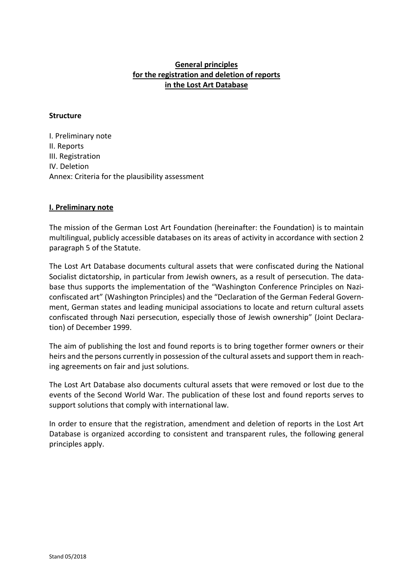# **General principles for the registration and deletion of reports in the Lost Art Database**

#### **Structure**

I. Preliminary note II. Reports III. Registration IV. Deletion Annex: Criteria for the plausibility assessment

### **I. Preliminary note**

The mission of the German Lost Art Foundation (hereinafter: the Foundation) is to maintain multilingual, publicly accessible databases on its areas of activity in accordance with section 2 paragraph 5 of the Statute.

The Lost Art Database documents cultural assets that were confiscated during the National Socialist dictatorship, in particular from Jewish owners, as a result of persecution. The database thus supports the implementation of the "Washington Conference Principles on Naziconfiscated art" (Washington Principles) and the "Declaration of the German Federal Government, German states and leading municipal associations to locate and return cultural assets confiscated through Nazi persecution, especially those of Jewish ownership" (Joint Declaration) of December 1999.

The aim of publishing the lost and found reports is to bring together former owners or their heirs and the persons currently in possession of the cultural assets and support them in reaching agreements on fair and just solutions.

The Lost Art Database also documents cultural assets that were removed or lost due to the events of the Second World War. The publication of these lost and found reports serves to support solutions that comply with international law.

In order to ensure that the registration, amendment and deletion of reports in the Lost Art Database is organized according to consistent and transparent rules, the following general principles apply.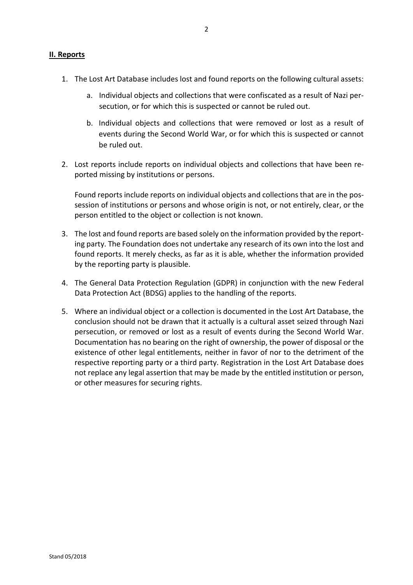- 1. The Lost Art Database includes lost and found reports on the following cultural assets:
	- a. Individual objects and collections that were confiscated as a result of Nazi persecution, or for which this is suspected or cannot be ruled out.
	- b. Individual objects and collections that were removed or lost as a result of events during the Second World War, or for which this is suspected or cannot be ruled out.
- 2. Lost reports include reports on individual objects and collections that have been reported missing by institutions or persons.

Found reports include reports on individual objects and collections that are in the possession of institutions or persons and whose origin is not, or not entirely, clear, or the person entitled to the object or collection is not known.

- 3. The lost and found reports are based solely on the information provided by the reporting party. The Foundation does not undertake any research of its own into the lost and found reports. It merely checks, as far as it is able, whether the information provided by the reporting party is plausible.
- 4. The General Data Protection Regulation (GDPR) in conjunction with the new Federal Data Protection Act (BDSG) applies to the handling of the reports.
- 5. Where an individual object or a collection is documented in the Lost Art Database, the conclusion should not be drawn that it actually is a cultural asset seized through Nazi persecution, or removed or lost as a result of events during the Second World War. Documentation has no bearing on the right of ownership, the power of disposal or the existence of other legal entitlements, neither in favor of nor to the detriment of the respective reporting party or a third party. Registration in the Lost Art Database does not replace any legal assertion that may be made by the entitled institution or person, or other measures for securing rights.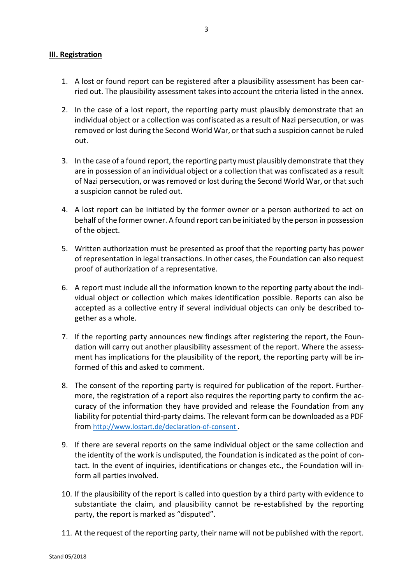### **III. Registration**

- 1. A lost or found report can be registered after a plausibility assessment has been carried out. The plausibility assessment takes into account the criteria listed in the annex.
- 2. In the case of a lost report, the reporting party must plausibly demonstrate that an individual object or a collection was confiscated as a result of Nazi persecution, or was removed or lost during the Second World War, or that such a suspicion cannot be ruled out.
- 3. In the case of a found report, the reporting party must plausibly demonstrate that they are in possession of an individual object or a collection that was confiscated as a result of Nazi persecution, or was removed or lost during the Second World War, or that such a suspicion cannot be ruled out.
- 4. A lost report can be initiated by the former owner or a person authorized to act on behalf of the former owner. A found report can be initiated by the person in possession of the object.
- 5. Written authorization must be presented as proof that the reporting party has power of representation in legal transactions. In other cases, the Foundation can also request proof of authorization of a representative.
- 6. A report must include all the information known to the reporting party about the individual object or collection which makes identification possible. Reports can also be accepted as a collective entry if several individual objects can only be described together as a whole.
- 7. If the reporting party announces new findings after registering the report, the Foundation will carry out another plausibility assessment of the report. Where the assessment has implications for the plausibility of the report, the reporting party will be informed of this and asked to comment.
- 8. The consent of the reporting party is required for publication of the report. Furthermore, the registration of a report also requires the reporting party to confirm the accuracy of the information they have provided and release the Foundation from any liability for potential third-party claims. The relevant form can be downloaded as a PDF from [http://www.lostart.de/declaration-of-consent .](http://www.lostart.de/declaration-of-consent)
- 9. If there are several reports on the same individual object or the same collection and the identity of the work is undisputed, the Foundation is indicated as the point of contact. In the event of inquiries, identifications or changes etc., the Foundation will inform all parties involved.
- 10. If the plausibility of the report is called into question by a third party with evidence to substantiate the claim, and plausibility cannot be re-established by the reporting party, the report is marked as "disputed".
- 11. At the request of the reporting party, their name will not be published with the report.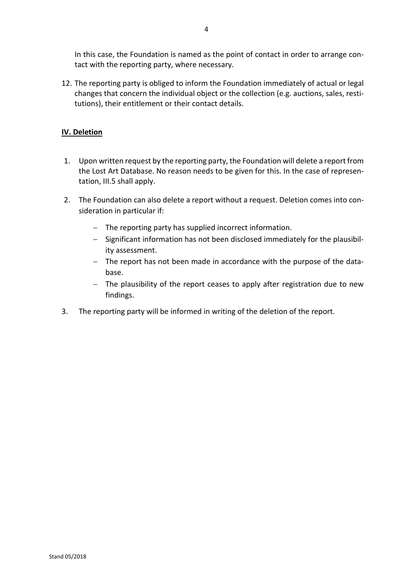In this case, the Foundation is named as the point of contact in order to arrange contact with the reporting party, where necessary.

12. The reporting party is obliged to inform the Foundation immediately of actual or legal changes that concern the individual object or the collection (e.g. auctions, sales, restitutions), their entitlement or their contact details.

# **IV. Deletion**

- 1. Upon written request by the reporting party, the Foundation will delete a report from the Lost Art Database. No reason needs to be given for this. In the case of representation, III.5 shall apply.
- 2. The Foundation can also delete a report without a request. Deletion comes into consideration in particular if:
	- − The reporting party has supplied incorrect information.
	- − Significant information has not been disclosed immediately for the plausibility assessment.
	- − The report has not been made in accordance with the purpose of the database.
	- − The plausibility of the report ceases to apply after registration due to new findings.
- 3. The reporting party will be informed in writing of the deletion of the report.